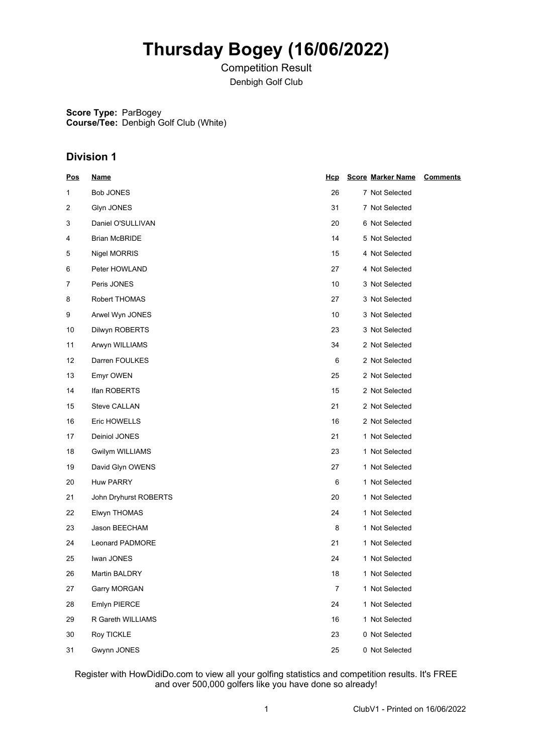# **Thursday Bogey (16/06/2022)**

Competition Result Denbigh Golf Club

**Score Type:** ParBogey **Course/Tee:** Denbigh Golf Club (White)

## **Division 1**

| <u>Pos</u> | <b>Name</b>           | <u>Hcp</u> | <b>Score Marker Name</b><br><b>Comments</b> |
|------------|-----------------------|------------|---------------------------------------------|
| 1          | <b>Bob JONES</b>      | 26         | 7 Not Selected                              |
| 2          | Glyn JONES            | 31         | 7 Not Selected                              |
| 3          | Daniel O'SULLIVAN     | 20         | 6 Not Selected                              |
| 4          | <b>Brian McBRIDE</b>  | 14         | 5 Not Selected                              |
| 5          | Nigel MORRIS          | 15         | 4 Not Selected                              |
| 6          | Peter HOWLAND         | 27         | 4 Not Selected                              |
| 7          | Peris JONES           | 10         | 3 Not Selected                              |
| 8          | Robert THOMAS         | 27         | 3 Not Selected                              |
| 9          | Arwel Wyn JONES       | 10         | 3 Not Selected                              |
| 10         | Dilwyn ROBERTS        | 23         | 3 Not Selected                              |
| 11         | Arwyn WILLIAMS        | 34         | 2 Not Selected                              |
| 12         | Darren FOULKES        | 6          | 2 Not Selected                              |
| 13         | Emyr OWEN             | 25         | 2 Not Selected                              |
| 14         | Ifan ROBERTS          | 15         | 2 Not Selected                              |
| 15         | Steve CALLAN          | 21         | 2 Not Selected                              |
| 16         | Eric HOWELLS          | 16         | 2 Not Selected                              |
| 17         | Deiniol JONES         | 21         | 1 Not Selected                              |
| 18         | Gwilym WILLIAMS       | 23         | 1 Not Selected                              |
| 19         | David Glyn OWENS      | 27         | 1 Not Selected                              |
| 20         | Huw PARRY             | 6          | 1 Not Selected                              |
| 21         | John Dryhurst ROBERTS | 20         | 1 Not Selected                              |
| 22         | Elwyn THOMAS          | 24         | 1 Not Selected                              |
| 23         | Jason BEECHAM         | 8          | 1 Not Selected                              |
| 24         | Leonard PADMORE       | 21         | 1 Not Selected                              |
| 25         | Iwan JONES            | 24         | 1 Not Selected                              |
| 26         | Martin BALDRY         | 18         | 1 Not Selected                              |
| 27         | Garry MORGAN          | 7          | 1 Not Selected                              |
| 28         | Emlyn PIERCE          | 24         | 1 Not Selected                              |
| 29         | R Gareth WILLIAMS     | 16         | 1 Not Selected                              |
| 30         | Roy TICKLE            | 23         | 0 Not Selected                              |
| 31         | Gwynn JONES           | 25         | 0 Not Selected                              |

Register with HowDidiDo.com to view all your golfing statistics and competition results. It's FREE and over 500,000 golfers like you have done so already!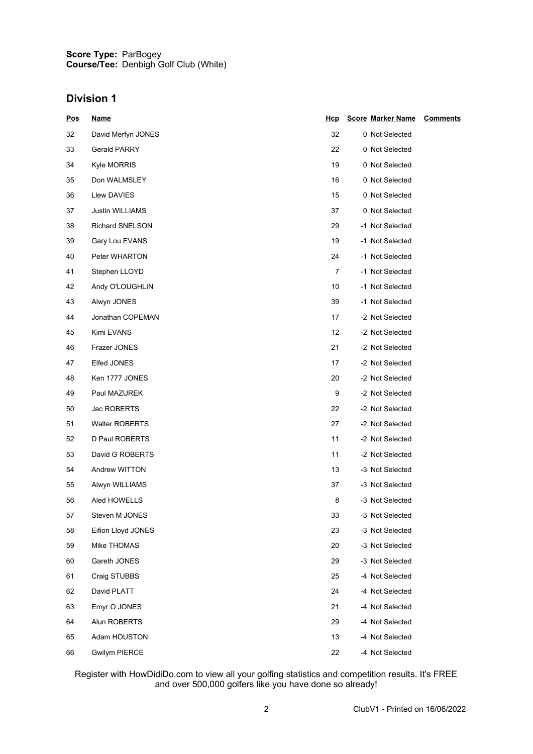#### **Score Type: Course/Tee:** ParBogey Denbigh Golf Club (White)

## **Division 1**

| <u>Pos</u> | <u>Name</u>           | <u>Hcp</u> | <b>Score Marker Name</b> | <b>Comments</b> |
|------------|-----------------------|------------|--------------------------|-----------------|
| 32         | David Merfyn JONES    | 32         | 0 Not Selected           |                 |
| 33         | <b>Gerald PARRY</b>   | 22         | 0 Not Selected           |                 |
| 34         | Kyle MORRIS           | 19         | 0 Not Selected           |                 |
| 35         | Don WALMSLEY          | 16         | 0 Not Selected           |                 |
| 36         | Llew DAVIES           | 15         | 0 Not Selected           |                 |
| 37         | Justin WILLIAMS       | 37         | 0 Not Selected           |                 |
| 38         | Richard SNELSON       | 29         | -1 Not Selected          |                 |
| 39         | Gary Lou EVANS        | 19         | -1 Not Selected          |                 |
| 40         | Peter WHARTON         | 24         | -1 Not Selected          |                 |
| 41         | Stephen LLOYD         | 7          | -1 Not Selected          |                 |
| 42         | Andy O'LOUGHLIN       | 10         | -1 Not Selected          |                 |
| 43         | Alwyn JONES           | 39         | -1 Not Selected          |                 |
| 44         | Jonathan COPEMAN      | 17         | -2 Not Selected          |                 |
| 45         | Kimi EVANS            | 12         | -2 Not Selected          |                 |
| 46         | Frazer JONES          | 21         | -2 Not Selected          |                 |
| 47         | Elfed JONES           | 17         | -2 Not Selected          |                 |
| 48         | Ken 1777 JONES        | 20         | -2 Not Selected          |                 |
| 49         | Paul MAZUREK          | 9          | -2 Not Selected          |                 |
| 50         | Jac ROBERTS           | 22         | -2 Not Selected          |                 |
| 51         | <b>Walter ROBERTS</b> | 27         | -2 Not Selected          |                 |
| 52         | D Paul ROBERTS        | 11         | -2 Not Selected          |                 |
| 53         | David G ROBERTS       | 11         | -2 Not Selected          |                 |
| 54         | Andrew WITTON         | 13         | -3 Not Selected          |                 |
| 55         | Alwyn WILLIAMS        | 37         | -3 Not Selected          |                 |
| 56         | Aled HOWELLS          | 8          | -3 Not Selected          |                 |
| 57         | Steven M JONES        | 33         | -3 Not Selected          |                 |
| 58         | Eifion Lloyd JONES    | 23         | -3 Not Selected          |                 |
| 59         | Mike THOMAS           | 20         | -3 Not Selected          |                 |
| 60         | Gareth JONES          | 29         | -3 Not Selected          |                 |
| 61         | Craig STUBBS          | 25         | -4 Not Selected          |                 |
| 62         | David PLATT           | 24         | -4 Not Selected          |                 |
| 63         | Emyr O JONES          | 21         | -4 Not Selected          |                 |
| 64         | Alun ROBERTS          | 29         | -4 Not Selected          |                 |
| 65         | Adam HOUSTON          | 13         | -4 Not Selected          |                 |
| 66         | <b>Gwilym PIERCE</b>  | 22         | -4 Not Selected          |                 |

Register with HowDidiDo.com to view all your golfing statistics and competition results. It's FREE and over 500,000 golfers like you have done so already!